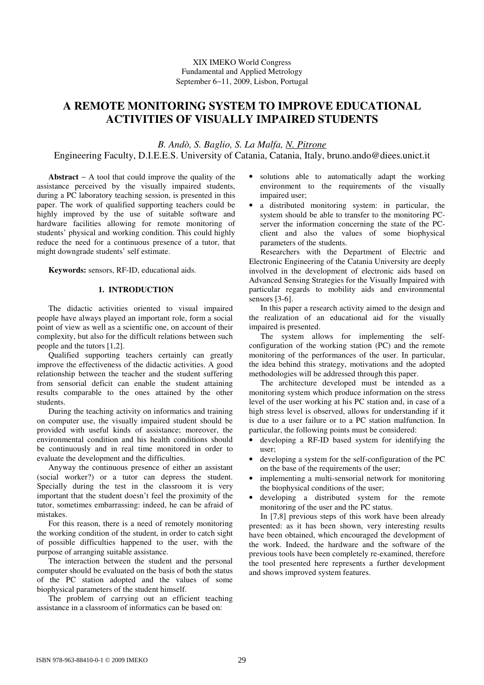# **A REMOTE MONITORING SYSTEM TO IMPROVE EDUCATIONAL ACTIVITIES OF VISUALLY IMPAIRED STUDENTS**

*B. Andò, S. Baglio, S. La Malfa, N. Pitrone* 

Engineering Faculty, D.I.E.E.S. University of Catania, Catania, Italy, bruno.ando@diees.unict.it

**Abstract** − A tool that could improve the quality of the assistance perceived by the visually impaired students, during a PC laboratory teaching session, is presented in this paper. The work of qualified supporting teachers could be highly improved by the use of suitable software and hardware facilities allowing for remote monitoring of students' physical and working condition. This could highly reduce the need for a continuous presence of a tutor, that might downgrade students' self estimate.

**Keywords:** sensors, RF-ID, educational aids.

# **1. INTRODUCTION**

The didactic activities oriented to visual impaired people have always played an important role, form a social point of view as well as a scientific one, on account of their complexity, but also for the difficult relations between such people and the tutors [1,2].

Qualified supporting teachers certainly can greatly improve the effectiveness of the didactic activities. A good relationship between the teacher and the student suffering from sensorial deficit can enable the student attaining results comparable to the ones attained by the other students.

During the teaching activity on informatics and training on computer use, the visually impaired student should be provided with useful kinds of assistance; moreover, the environmental condition and his health conditions should be continuously and in real time monitored in order to evaluate the development and the difficulties.

Anyway the continuous presence of either an assistant (social worker?) or a tutor can depress the student. Specially during the test in the classroom it is very important that the student doesn't feel the proximity of the tutor, sometimes embarrassing: indeed, he can be afraid of mistakes.

For this reason, there is a need of remotely monitoring the working condition of the student, in order to catch sight of possible difficulties happened to the user, with the purpose of arranging suitable assistance.

The interaction between the student and the personal computer should be evaluated on the basis of both the status of the PC station adopted and the values of some biophysical parameters of the student himself.

The problem of carrying out an efficient teaching assistance in a classroom of informatics can be based on:

- solutions able to automatically adapt the working environment to the requirements of the visually impaired user;
- a distributed monitoring system: in particular, the system should be able to transfer to the monitoring PCserver the information concerning the state of the PCclient and also the values of some biophysical parameters of the students.

Researchers with the Department of Electric and Electronic Engineering of the Catania University are deeply involved in the development of electronic aids based on Advanced Sensing Strategies for the Visually Impaired with particular regards to mobility aids and environmental sensors [3-6].

In this paper a research activity aimed to the design and the realization of an educational aid for the visually impaired is presented.

The system allows for implementing the selfconfiguration of the working station (PC) and the remote monitoring of the performances of the user. In particular, the idea behind this strategy, motivations and the adopted methodologies will be addressed through this paper.

The architecture developed must be intended as a monitoring system which produce information on the stress level of the user working at his PC station and, in case of a high stress level is observed, allows for understanding if it is due to a user failure or to a PC station malfunction. In particular, the following points must be considered:

- developing a RF-ID based system for identifying the user;
- developing a system for the self-configuration of the PC on the base of the requirements of the user;
- implementing a multi-sensorial network for monitoring the biophysical conditions of the user;
- developing a distributed system for the remote monitoring of the user and the PC status.

In [7,8] previous steps of this work have been already presented: as it has been shown, very interesting results have been obtained, which encouraged the development of the work. Indeed, the hardware and the software of the previous tools have been completely re-examined, therefore the tool presented here represents a further development and shows improved system features.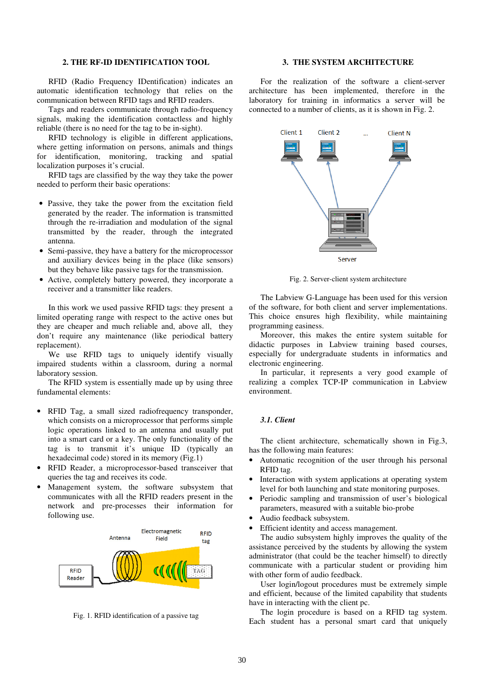## **2. THE RF-ID IDENTIFICATION TOOL**

RFID (Radio Frequency IDentification) indicates an automatic identification technology that relies on the communication between RFID tags and RFID readers.

Tags and readers communicate through radio-frequency signals, making the identification contactless and highly reliable (there is no need for the tag to be in-sight).

RFID technology is eligible in different applications, where getting information on persons, animals and things for identification, monitoring, tracking and spatial localization purposes it's crucial.

RFID tags are classified by the way they take the power needed to perform their basic operations:

- Passive, they take the power from the excitation field generated by the reader. The information is transmitted through the re-irradiation and modulation of the signal transmitted by the reader, through the integrated antenna.
- Semi-passive, they have a battery for the microprocessor and auxiliary devices being in the place (like sensors) but they behave like passive tags for the transmission.
- Active, completely battery powered, they incorporate a receiver and a transmitter like readers.

In this work we used passive RFID tags: they present a limited operating range with respect to the active ones but they are cheaper and much reliable and, above all, they don't require any maintenance (like periodical battery replacement).

 We use RFID tags to uniquely identify visually impaired students within a classroom, during a normal laboratory session.

The RFID system is essentially made up by using three fundamental elements:

- RFID Tag, a small sized radiofrequency transponder, which consists on a microprocessor that performs simple logic operations linked to an antenna and usually put into a smart card or a key. The only functionality of the tag is to transmit it's unique ID (typically an hexadecimal code) stored in its memory (Fig.1)
- RFID Reader, a microprocessor-based transceiver that queries the tag and receives its code.
- Management system, the software subsystem that communicates with all the RFID readers present in the network and pre-processes their information for following use.



Fig. 1. RFID identification of a passive tag

## **3. THE SYSTEM ARCHITECTURE**

For the realization of the software a client-server architecture has been implemented, therefore in the laboratory for training in informatics a server will be connected to a number of clients, as it is shown in Fig. 2.



Fig. 2. Server-client system architecture

The Labview G-Language has been used for this version of the software, for both client and server implementations. This choice ensures high flexibility, while maintaining programming easiness.

Moreover, this makes the entire system suitable for didactic purposes in Labview training based courses, especially for undergraduate students in informatics and electronic engineering.

In particular, it represents a very good example of realizing a complex TCP-IP communication in Labview environment.

## *3.1. Client*

The client architecture, schematically shown in Fig.3, has the following main features:

- Automatic recognition of the user through his personal RFID tag.
- Interaction with system applications at operating system level for both launching and state monitoring purposes.
- Periodic sampling and transmission of user's biological parameters, measured with a suitable bio-probe
- Audio feedback subsystem.
- Efficient identity and access management.

The audio subsystem highly improves the quality of the assistance perceived by the students by allowing the system administrator (that could be the teacher himself) to directly communicate with a particular student or providing him with other form of audio feedback.

User login/logout procedures must be extremely simple and efficient, because of the limited capability that students have in interacting with the client pc.

The login procedure is based on a RFID tag system. Each student has a personal smart card that uniquely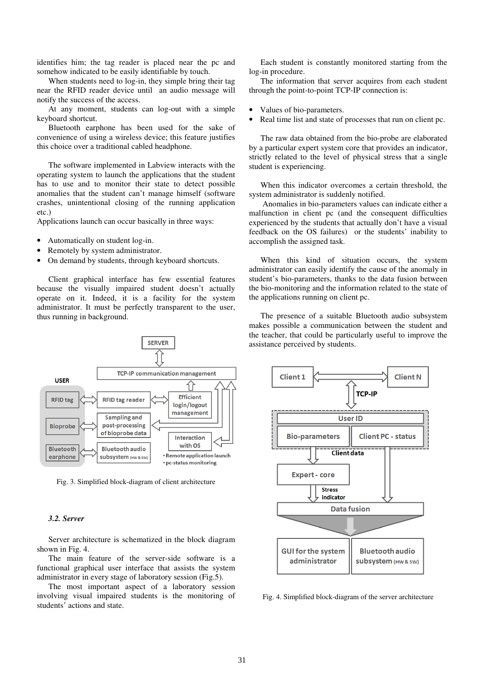identifies him; the tag reader is placed near the pc and somehow indicated to be easily identifiable by touch.

When students need to log-in, they simple bring their tag near the RFID reader device until an audio message will notify the success of the access.

At any moment, students can log-out with a simple keyboard shortcut.

Bluetooth earphone has been used for the sake of convenience of using a wireless device; this feature justifies this choice over a traditional cabled headphone.

The software implemented in Labview interacts with the operating system to launch the applications that the student has to use and to monitor their state to detect possible anomalies that the student can't manage himself (software crashes, unintentional closing of the running application etc.)

Applications launch can occur basically in three ways:

- Automatically on student log-in.
- Remotely by system administrator.
- On demand by students, through keyboard shortcuts.

Client graphical interface has few essential features because the visually impaired student doesn't actually operate on it. Indeed, it is a facility for the system administrator. It must be perfectly transparent to the user, thus running in background.



Fig. 3. Simplified block-diagram of client architecture

#### *3.2. Server*

Server architecture is schematized in the block diagram shown in Fig. 4.

The main feature of the server-side software is a functional graphical user interface that assists the system administrator in every stage of laboratory session (Fig.5).

The most important aspect of a laboratory session involving visual impaired students is the monitoring of students' actions and state.

Each student is constantly monitored starting from the log-in procedure.

The information that server acquires from each student through the point-to-point TCP-IP connection is:

- Values of bio-parameters.
- Real time list and state of processes that run on client pc.

The raw data obtained from the bio-probe are elaborated by a particular expert system core that provides an indicator, strictly related to the level of physical stress that a single student is experiencing.

When this indicator overcomes a certain threshold, the system administrator is suddenly notified.

 Anomalies in bio-parameters values can indicate either a malfunction in client pc (and the consequent difficulties experienced by the students that actually don't have a visual feedback on the OS failures) or the students' inability to accomplish the assigned task.

When this kind of situation occurs, the system administrator can easily identify the cause of the anomaly in student's bio-parameters, thanks to the data fusion between the bio-monitoring and the information related to the state of the applications running on client pc.

The presence of a suitable Bluetooth audio subsystem makes possible a communication between the student and the teacher, that could be particularly useful to improve the assistance perceived by students.



Fig. 4. Simplified block-diagram of the server architecture